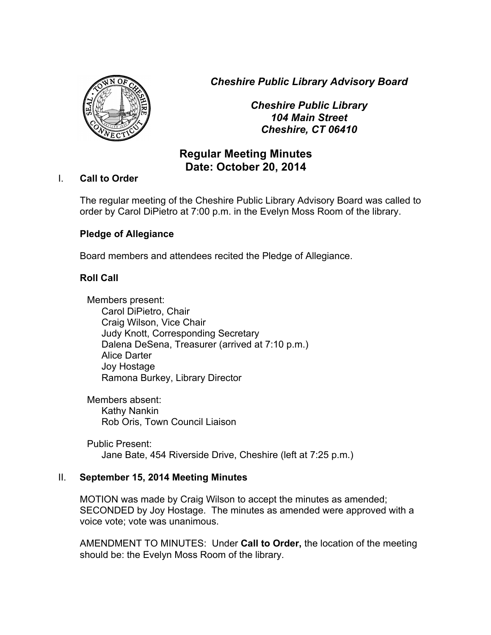*Cheshire Public Library Advisory Board*



*Cheshire Public Library 104 Main Street Cheshire, CT 06410*

# **Regular Meeting Minutes Date: October 20, 2014**

### I. **Call to Order**

The regular meeting of the Cheshire Public Library Advisory Board was called to order by Carol DiPietro at 7:00 p.m. in the Evelyn Moss Room of the library.

# **Pledge of Allegiance**

Board members and attendees recited the Pledge of Allegiance.

# **Roll Call**

Members present: Carol DiPietro, Chair Craig Wilson, Vice Chair Judy Knott, Corresponding Secretary Dalena DeSena, Treasurer (arrived at 7:10 p.m.) Alice Darter Joy Hostage Ramona Burkey, Library Director

Members absent: Kathy Nankin Rob Oris, Town Council Liaison

Public Present: Jane Bate, 454 Riverside Drive, Cheshire (left at 7:25 p.m.)

#### II. **September 15, 2014 Meeting Minutes**

MOTION was made by Craig Wilson to accept the minutes as amended; SECONDED by Joy Hostage. The minutes as amended were approved with a voice vote; vote was unanimous.

AMENDMENT TO MINUTES: Under **Call to Order,** the location of the meeting should be: the Evelyn Moss Room of the library.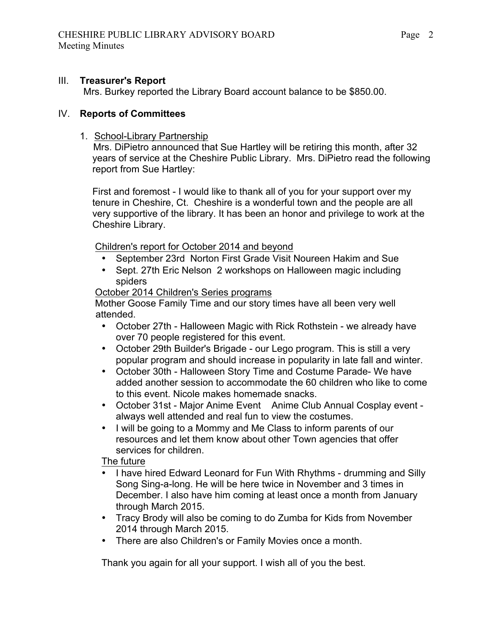#### III. **Treasurer's Report**

Mrs. Burkey reported the Library Board account balance to be \$850.00.

#### IV. **Reports of Committees**

#### 1. School-Library Partnership

 Mrs. DiPietro announced that Sue Hartley will be retiring this month, after 32 years of service at the Cheshire Public Library. Mrs. DiPietro read the following report from Sue Hartley:

First and foremost - I would like to thank all of you for your support over my tenure in Cheshire, Ct. Cheshire is a wonderful town and the people are all very supportive of the library. It has been an honor and privilege to work at the Cheshire Library.

Children's report for October 2014 and beyond

- September 23rd Norton First Grade Visit Noureen Hakim and Sue
- Sept. 27th Eric Nelson 2 workshops on Halloween magic including spiders

October 2014 Children's Series programs

 Mother Goose Family Time and our story times have all been very well attended.

- October 27th Halloween Magic with Rick Rothstein we already have over 70 people registered for this event.
- October 29th Builder's Brigade our Lego program. This is still a very popular program and should increase in popularity in late fall and winter.
- October 30th Halloween Story Time and Costume Parade- We have added another session to accommodate the 60 children who like to come to this event. Nicole makes homemade snacks.
- October 31st Major Anime Event Anime Club Annual Cosplay event always well attended and real fun to view the costumes.
- I will be going to a Mommy and Me Class to inform parents of our resources and let them know about other Town agencies that offer services for children.

The future

- I have hired Edward Leonard for Fun With Rhythms drumming and Silly Song Sing-a-long. He will be here twice in November and 3 times in December. I also have him coming at least once a month from January through March 2015.
- Tracy Brody will also be coming to do Zumba for Kids from November 2014 through March 2015.
- There are also Children's or Family Movies once a month.

Thank you again for all your support. I wish all of you the best.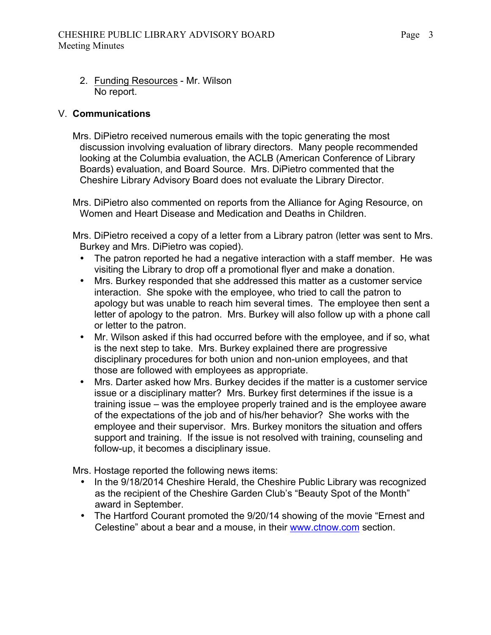2. Funding Resources - Mr. Wilson No report.

#### V. **Communications**

Mrs. DiPietro received numerous emails with the topic generating the most discussion involving evaluation of library directors. Many people recommended looking at the Columbia evaluation, the ACLB (American Conference of Library Boards) evaluation, and Board Source. Mrs. DiPietro commented that the Cheshire Library Advisory Board does not evaluate the Library Director.

Mrs. DiPietro also commented on reports from the Alliance for Aging Resource, on Women and Heart Disease and Medication and Deaths in Children.

Mrs. DiPietro received a copy of a letter from a Library patron (letter was sent to Mrs. Burkey and Mrs. DiPietro was copied).

- The patron reported he had a negative interaction with a staff member. He was visiting the Library to drop off a promotional flyer and make a donation.
- Mrs. Burkey responded that she addressed this matter as a customer service interaction. She spoke with the employee, who tried to call the patron to apology but was unable to reach him several times. The employee then sent a letter of apology to the patron. Mrs. Burkey will also follow up with a phone call or letter to the patron.
- Mr. Wilson asked if this had occurred before with the employee, and if so, what is the next step to take. Mrs. Burkey explained there are progressive disciplinary procedures for both union and non-union employees, and that those are followed with employees as appropriate.
- Mrs. Darter asked how Mrs. Burkey decides if the matter is a customer service issue or a disciplinary matter? Mrs. Burkey first determines if the issue is a training issue – was the employee properly trained and is the employee aware of the expectations of the job and of his/her behavior? She works with the employee and their supervisor. Mrs. Burkey monitors the situation and offers support and training. If the issue is not resolved with training, counseling and follow-up, it becomes a disciplinary issue.

Mrs. Hostage reported the following news items:

- In the 9/18/2014 Cheshire Herald, the Cheshire Public Library was recognized as the recipient of the Cheshire Garden Club's "Beauty Spot of the Month" award in September.
- The Hartford Courant promoted the 9/20/14 showing of the movie "Ernest and Celestine" about a bear and a mouse, in their www.ctnow.com section.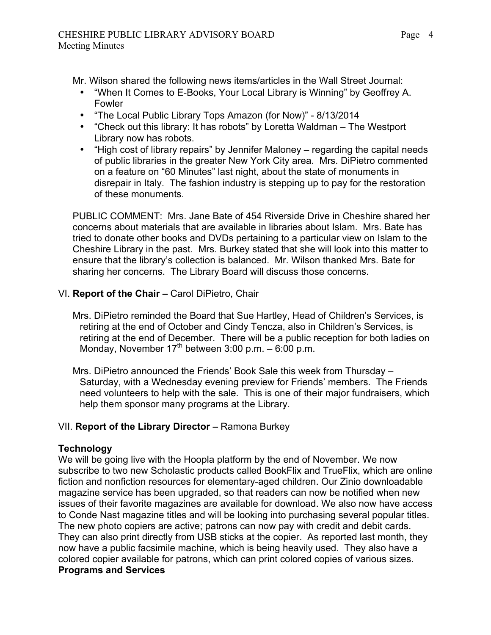Mr. Wilson shared the following news items/articles in the Wall Street Journal:

- "When It Comes to E-Books, Your Local Library is Winning" by Geoffrey A. Fowler
- "The Local Public Library Tops Amazon (for Now)" 8/13/2014
- "Check out this library: It has robots" by Loretta Waldman The Westport Library now has robots.
- "High cost of library repairs" by Jennifer Maloney regarding the capital needs of public libraries in the greater New York City area. Mrs. DiPietro commented on a feature on "60 Minutes" last night, about the state of monuments in disrepair in Italy. The fashion industry is stepping up to pay for the restoration of these monuments.

PUBLIC COMMENT: Mrs. Jane Bate of 454 Riverside Drive in Cheshire shared her concerns about materials that are available in libraries about Islam. Mrs. Bate has tried to donate other books and DVDs pertaining to a particular view on Islam to the Cheshire Library in the past. Mrs. Burkey stated that she will look into this matter to ensure that the library's collection is balanced. Mr. Wilson thanked Mrs. Bate for sharing her concerns. The Library Board will discuss those concerns.

### VI. **Report of the Chair –** Carol DiPietro, Chair

- Mrs. DiPietro reminded the Board that Sue Hartley, Head of Children's Services, is retiring at the end of October and Cindy Tencza, also in Children's Services, is retiring at the end of December. There will be a public reception for both ladies on Monday, November  $17<sup>th</sup>$  between 3:00 p.m. – 6:00 p.m.
- Mrs. DiPietro announced the Friends' Book Sale this week from Thursday Saturday, with a Wednesday evening preview for Friends' members. The Friends need volunteers to help with the sale. This is one of their major fundraisers, which help them sponsor many programs at the Library.

### VII. **Report of the Library Director –** Ramona Burkey

### **Technology**

We will be going live with the Hoopla platform by the end of November. We now subscribe to two new Scholastic products called BookFlix and TrueFlix, which are online fiction and nonfiction resources for elementary-aged children. Our Zinio downloadable magazine service has been upgraded, so that readers can now be notified when new issues of their favorite magazines are available for download. We also now have access to Conde Nast magazine titles and will be looking into purchasing several popular titles. The new photo copiers are active; patrons can now pay with credit and debit cards. They can also print directly from USB sticks at the copier. As reported last month, they now have a public facsimile machine, which is being heavily used. They also have a colored copier available for patrons, which can print colored copies of various sizes. **Programs and Services**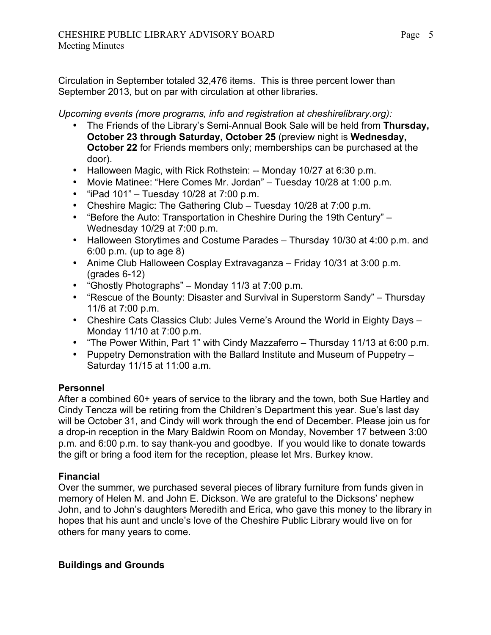Circulation in September totaled 32,476 items. This is three percent lower than September 2013, but on par with circulation at other libraries.

*Upcoming events (more programs, info and registration at cheshirelibrary.org):*

- The Friends of the Library's Semi-Annual Book Sale will be held from **Thursday, October 23 through Saturday, October 25** (preview night is **Wednesday, October 22** for Friends members only; memberships can be purchased at the door).
- Halloween Magic, with Rick Rothstein: -- Monday 10/27 at 6:30 p.m.
- Movie Matinee: "Here Comes Mr. Jordan" Tuesday 10/28 at 1:00 p.m.
- "iPad  $101" Tuesday 10/28$  at  $7:00$  p.m.
- Cheshire Magic: The Gathering Club Tuesday 10/28 at 7:00 p.m.
- "Before the Auto: Transportation in Cheshire During the 19th Century" Wednesday 10/29 at 7:00 p.m.
- Halloween Storytimes and Costume Parades Thursday 10/30 at 4:00 p.m. and 6:00 p.m. (up to age 8)
- Anime Club Halloween Cosplay Extravaganza Friday 10/31 at 3:00 p.m. (grades 6-12)
- "Ghostly Photographs" Monday 11/3 at 7:00 p.m.
- "Rescue of the Bounty: Disaster and Survival in Superstorm Sandy" Thursday 11/6 at 7:00 p.m.
- Cheshire Cats Classics Club: Jules Verne's Around the World in Eighty Days Monday 11/10 at 7:00 p.m.
- "The Power Within, Part 1" with Cindy Mazzaferro Thursday 11/13 at 6:00 p.m.
- Puppetry Demonstration with the Ballard Institute and Museum of Puppetry Saturday 11/15 at 11:00 a.m.

### **Personnel**

After a combined 60+ years of service to the library and the town, both Sue Hartley and Cindy Tencza will be retiring from the Children's Department this year. Sue's last day will be October 31, and Cindy will work through the end of December. Please join us for a drop-in reception in the Mary Baldwin Room on Monday, November 17 between 3:00 p.m. and 6:00 p.m. to say thank-you and goodbye. If you would like to donate towards the gift or bring a food item for the reception, please let Mrs. Burkey know.

### **Financial**

Over the summer, we purchased several pieces of library furniture from funds given in memory of Helen M. and John E. Dickson. We are grateful to the Dicksons' nephew John, and to John's daughters Meredith and Erica, who gave this money to the library in hopes that his aunt and uncle's love of the Cheshire Public Library would live on for others for many years to come.

### **Buildings and Grounds**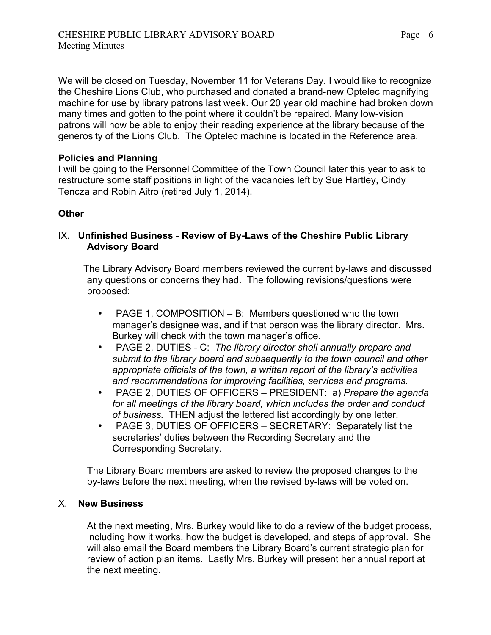We will be closed on Tuesday, November 11 for Veterans Day. I would like to recognize the Cheshire Lions Club, who purchased and donated a brand-new Optelec magnifying machine for use by library patrons last week. Our 20 year old machine had broken down many times and gotten to the point where it couldn't be repaired. Many low-vision patrons will now be able to enjoy their reading experience at the library because of the generosity of the Lions Club. The Optelec machine is located in the Reference area.

### **Policies and Planning**

I will be going to the Personnel Committee of the Town Council later this year to ask to restructure some staff positions in light of the vacancies left by Sue Hartley, Cindy Tencza and Robin Aitro (retired July 1, 2014).

### **Other**

### IX. **Unfinished Business** - **Review of By-Laws of the Cheshire Public Library Advisory Board**

The Library Advisory Board members reviewed the current by-laws and discussed any questions or concerns they had. The following revisions/questions were proposed:

- PAGE 1, COMPOSITION B: Members questioned who the town manager's designee was, and if that person was the library director. Mrs. Burkey will check with the town manager's office.
- PAGE 2, DUTIES C: *The library director shall annually prepare and submit to the library board and subsequently to the town council and other appropriate officials of the town, a written report of the library's activities and recommendations for improving facilities, services and programs.*
- PAGE 2, DUTIES OF OFFICERS PRESIDENT: a) *Prepare the agenda for all meetings of the library board, which includes the order and conduct of business.* THEN adjust the lettered list accordingly by one letter.
- PAGE 3, DUTIES OF OFFICERS SECRETARY: Separately list the secretaries' duties between the Recording Secretary and the Corresponding Secretary.

The Library Board members are asked to review the proposed changes to the by-laws before the next meeting, when the revised by-laws will be voted on.

### X. **New Business**

At the next meeting, Mrs. Burkey would like to do a review of the budget process, including how it works, how the budget is developed, and steps of approval. She will also email the Board members the Library Board's current strategic plan for review of action plan items. Lastly Mrs. Burkey will present her annual report at the next meeting.